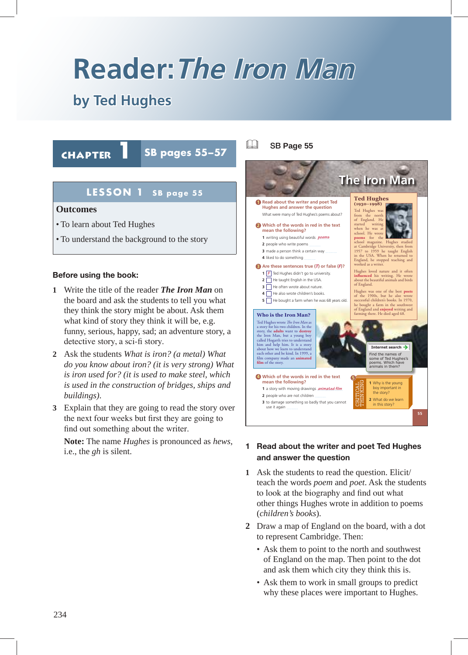# **Reader:The Iron Man**

# **by Ted Hughes**

Chapter **1 SB pages 55–57** 

# **LESSON 1 SB page 55**

#### **Outcomes**

- To learn about Ted Hughes
- To understand the background to the story

#### **Before using the book:**

- **1** Write the title of the reader *The Iron Man* on the board and ask the students to tell you what they think the story might be about. Ask them what kind of story they think it will be, e.g. funny, serious, happy, sad; an adventure story, a detective story, a sci-fi story.
- **2** Ask the students *What is iron? (a metal) What do you know about iron? (it is very strong) What is iron used for? (it is used to make steel, which is used in the construction of bridges, ships and buildings)*.
- **3** Explain that they are going to read the story over the next four weeks but first they are going to find out something about the writer.

**Note:** The name *Hughes* is pronounced as *hews*, i.e., the *gh* is silent.

#### & SB **Page 55**



#### **1 Read about the writer and poet Ted Hughes and answer the question**

- **1** Ask the students to read the question. Elicit/ teach the words *poem* and *poet*. Ask the students to look at the biography and find out what other things Hughes wrote in addition to poems (*children's books*).
- **2** Draw a map of England on the board, with a dot to represent Cambridge. Then:
	- Ask them to point to the north and southwest of England on the map. Then point to the dot and ask them which city they think this is.
	- Ask them to work in small groups to predict why these places were important to Hughes.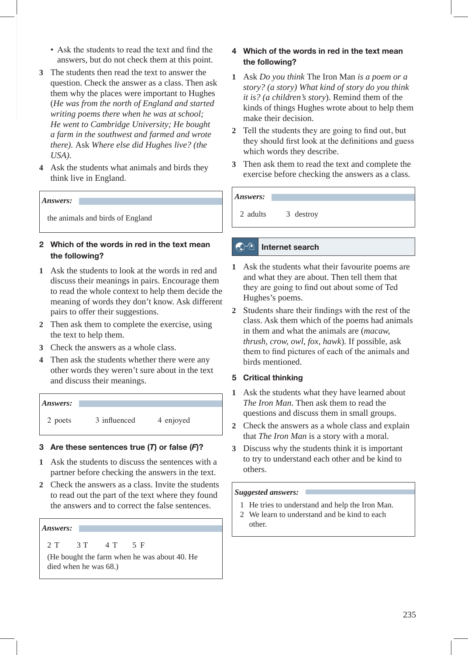- Ask the students to read the text and find the answers, but do not check them at this point.
- **3** The students then read the text to answer the question. Check the answer as a class. Then ask them why the places were important to Hughes (*He was from the north of England and started writing poems there when he was at school; He went to Cambridge University; He bought a farm in the southwest and farmed and wrote there).* Ask *Where else did Hughes live? (the USA)*.
- **4** Ask the students what animals and birds they think live in England.

#### *Answers:*

the animals and birds of England

#### **2 Which of the words in red in the text mean the following?**

- **1** Ask the students to look at the words in red and discuss their meanings in pairs. Encourage them to read the whole context to help them decide the meaning of words they don't know. Ask different pairs to offer their suggestions.
- **2** Then ask them to complete the exercise, using the text to help them.
- **3** Check the answers as a whole class.
- **4** Then ask the students whether there were any other words they weren't sure about in the text and discuss their meanings.

*Answers:*  2 poets 3 influenced 4 enjoyed

#### **3 Are these sentences true (***T***) or false (***F***)?**

- **1** Ask the students to discuss the sentences with a partner before checking the answers in the text.
- **2** Check the answers as a class. Invite the students to read out the part of the text where they found the answers and to correct the false sentences.

#### *Answers:*

2 T 3 T 4 T 5 F

(He bought the farm when he was about 40. He died when he was 68.)

#### **4 Which of the words in red in the text mean the following?**

- **1** Ask *Do you think* The Iron Man *is a poem or a story? (a story) What kind of story do you think it is? (a children's story*). Remind them of the kinds of things Hughes wrote about to help them make their decision.
- **2** Tell the students they are going to find out, but they should first look at the definitions and guess which words they describe.
- **3** Then ask them to read the text and complete the exercise before checking the answers as a class.

# *Answers:*

2 adults 3 destroy

#### **A**<sup>t</sup> Internet search

- **1** Ask the students what their favourite poems are and what they are about. Then tell them that they are going to find out about some of Ted Hughes's poems.
- **2** Students share their findings with the rest of the class. Ask them which of the poems had animals in them and what the animals are (*macaw, thrush, crow, owl, fox, hawk*). If possible, ask them to find pictures of each of the animals and birds mentioned.

#### **5 Critical thinking**

- **1** Ask the students what they have learned about *The Iron Man*. Then ask them to read the questions and discuss them in small groups.
- **2** Check the answers as a whole class and explain that *The Iron Man* is a story with a moral.
- **3** Discuss why the students think it is important to try to understand each other and be kind to others.

#### *Suggested answers:*

- 1 He tries to understand and help the Iron Man.
- 2 We learn to understand and be kind to each other.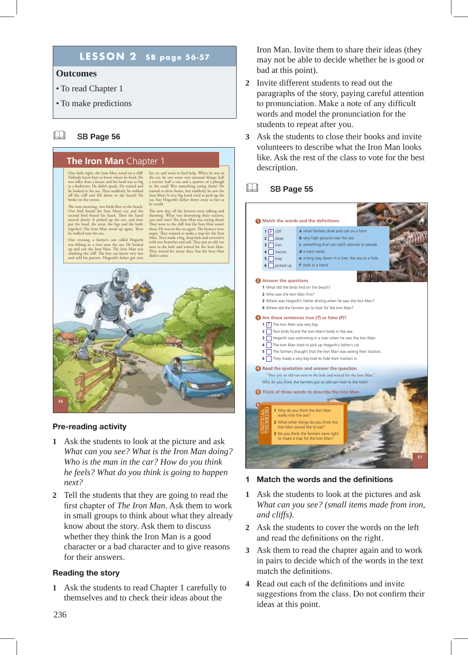# **LESSON 2 SB page 56-57**

#### **Outcomes**

- To read Chapter 1
- To make predictions

#### & SB **Page 56**

#### **The Iron Man** Chapter 1

One dark night, the Iron Man stood on a cliff. Nobody knew him or knew where he lived. He was taller than a house and his head was as big<br>as a bedroom. He didn't speak. He waited and<br>he looked at the sea. Then suddenly, he walked<br>off the cliff and fell down to the beach! He broke on the stones.

The next morning, two birds flew to the beach.<br>One bird found the Iron Man's eye and the<br>second bird found his hand. Then the hand<br>moved slowly. It picked up the eye, and then<br>put the head, the arms, the legs and the body together! The Iron Man stood up again. Then he walked into the sea.

One evening, a farmer's son called Hogarth was fishing in a river near the sea. He looked up and saw the Iron Man. The Iron Man was climbing the cliff. The boy ran home very fast and told his parents. Hogarth's father got into his car and went to find help. When he was in<br>the car, he saw some very unusual things: half<br>a tractor, half a van and a quarter of a plough<br>in the road! Was something eating them? He<br>started to drive home, but suddenly he

The next day, all the farmers were talking and shouting. What was destroying their tractors, cars and vans? The Iron Man was eating them! They went to the cliff, but the Iron Man wasn't there. He was in the sea again. The farmers were<br>angry. They wanted to make a trap for the Iron<br>Man. They made a big, deep hole and covered it<br>with tree branches and soil. They put an old van<br>next to the hole and waited fo didn't come.



#### **Pre-reading activity**

- **1** Ask the students to look at the picture and ask *What can you see? What is the Iron Man doing? Who is the man in the car? How do you think he feels? What do you think is going to happen next?*
- **2** Tell the students that they are going to read the first chapter of *The Iron Man*. Ask them to work in small groups to think about what they already know about the story. Ask them to discuss whether they think the Iron Man is a good character or a bad character and to give reasons for their answers.

#### **Reading the story**

**1** Ask the students to read Chapter 1 carefully to themselves and to check their ideas about the

Iron Man. Invite them to share their ideas (they may not be able to decide whether he is good or bad at this point).

- **2** Invite different students to read out the paragraphs of the story, paying careful attention to pronunciation. Make a note of any difficult words and model the pronunciation for the students to repeat after you.
- **3** Ask the students to close their books and invite volunteers to describe what the Iron Man looks like. Ask the rest of the class to vote for the best description.

#### & SB **Page 55**



#### **1 Match the words and the definitions**

- **1** Ask the students to look at the pictures and ask *What can you see? (small items made from iron, and cliffs)*.
- **2** Ask the students to cover the words on the left and read the definitions on the right.
- **3** Ask them to read the chapter again and to work in pairs to decide which of the words in the text match the definitions.
- **4** Read out each of the definitions and invite suggestions from the class. Do not confirm their ideas at this point.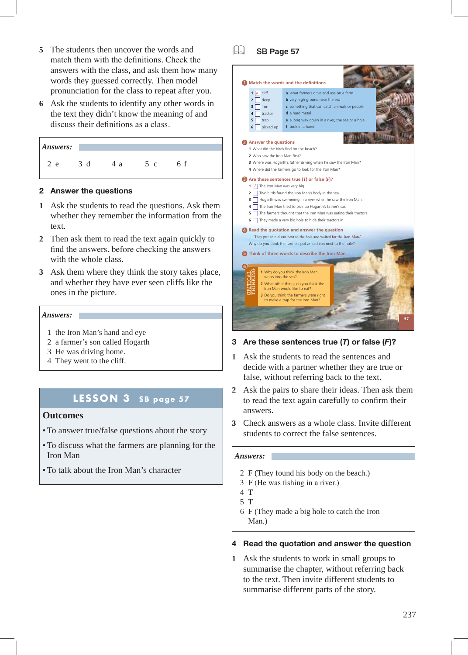- **5** The students then uncover the words and match them with the definitions. Check the answers with the class, and ask them how many words they guessed correctly. Then model pronunciation for the class to repeat after you.
- **6** Ask the students to identify any other words in the text they didn't know the meaning of and discuss their definitions as a class.

| Answers: |   |   |              |  |
|----------|---|---|--------------|--|
| e        | d | a | $\mathbf{C}$ |  |

#### **2 Answer the questions**

- **1** Ask the students to read the questions. Ask them whether they remember the information from the text.
- **2** Then ask them to read the text again quickly to find the answers, before checking the answers with the whole class.
- **3** Ask them where they think the story takes place, and whether they have ever seen cliffs like the ones in the picture.

#### *Answers:*

- 1 the Iron Man's hand and eye
- 2 a farmer's son called Hogarth
- 3 He was driving home.
- 4 They went to the cliff.

# **LESSON 3 SB page 57**

#### **Outcomes**

- To answer true/false questions about the story
- To discuss what the farmers are planning for the Iron Man
- To talk about the Iron Man's character

& SB **Page 57**



#### **3 Are these sentences true (***T***) or false (***F***)?**

- **1** Ask the students to read the sentences and decide with a partner whether they are true or false, without referring back to the text.
- **2** Ask the pairs to share their ideas. Then ask them to read the text again carefully to confirm their answers.
- **3** Check answers as a whole class. Invite different students to correct the false sentences.

#### *Answers:*

- 2 F (They found his body on the beach.)
- 3 F (He was fishing in a river.)
- 4 T
- 5 T
- 6 F (They made a big hole to catch the Iron Man.)

#### **4 Read the quotation and answer the question**

**1** Ask the students to work in small groups to summarise the chapter, without referring back to the text. Then invite different students to summarise different parts of the story.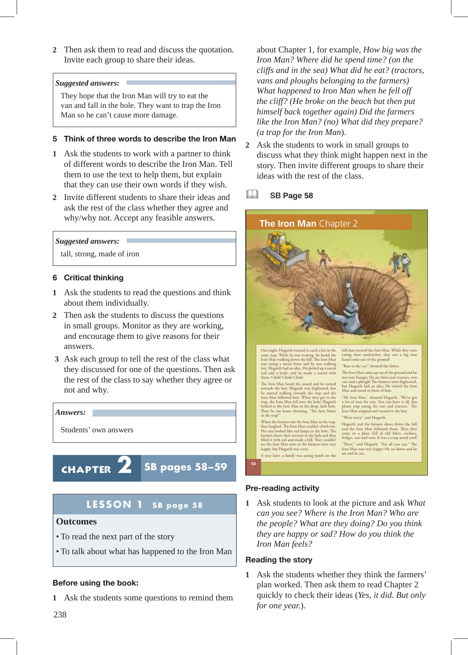**2** Then ask them to read and discuss the quotation. Invite each group to share their ideas.

#### *Suggested answers:*

They hope that the Iron Man will try to eat the van and fall in the hole. They want to trap the Iron Man so he can't cause more damage.

#### **5 Think of three words to describe the Iron Man**

- **1** Ask the students to work with a partner to think of different words to describe the Iron Man. Tell them to use the text to help them, but explain that they can use their own words if they wish.
- **2** Invite different students to share their ideas and ask the rest of the class whether they agree and why/why not. Accept any feasible answers.

#### *Suggested answers:*

tall, strong, made of iron

#### **6 Critical thinking**

- **1** Ask the students to read the questions and think about them individually.
- **2** Then ask the students to discuss the questions in small groups. Monitor as they are working, and encourage them to give reasons for their answers.
- **3** Ask each group to tell the rest of the class what they discussed for one of the questions. Then ask the rest of the class to say whether they agree or not and why.



# **LESSON 1 SB page 58**

#### **Outcomes**

- To read the next part of the story
- To talk about what has happened to the Iron Man

#### **Before using the book:**

**1** Ask the students some questions to remind them

about Chapter 1, for example, *How big was the Iron Man? Where did he spend time? (on the cliffs and in the sea) What did he eat? (tractors, vans and ploughs belonging to the farmers) What happened to Iron Man when he fell off the cliff? (He broke on the beach but then put himself back together again) Did the farmers like the Iron Man? (no) What did they prepare? (a trap for the Iron Man*).

- **2** Ask the students to work in small groups to discuss what they think might happen next in the story. Then invite different groups to share their ideas with the rest of the class.
- & SB **Page 58**



#### **Pre-reading activity**

**1** Ask students to look at the picture and ask *What can you see? Where is the Iron Man? Who are the people? What are they doing? Do you think they are happy or sad? How do you think the Iron Man feels?*

#### **Reading the story**

**1** Ask the students whether they think the farmers' plan worked. Then ask them to read Chapter 2 quickly to check their ideas (*Yes, it did. But only for one year.*).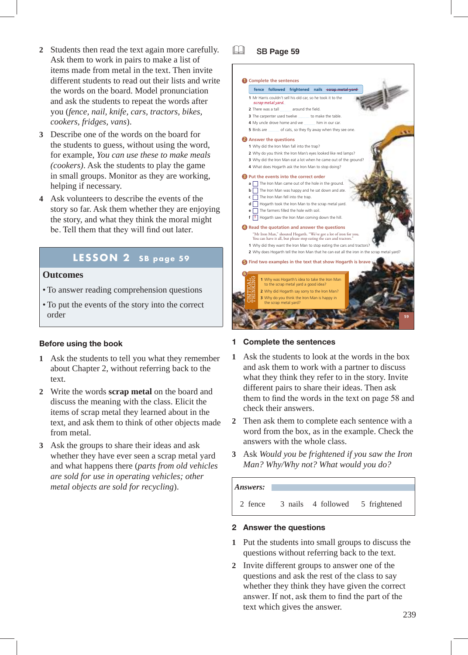- **2** Students then read the text again more carefully. Ask them to work in pairs to make a list of items made from metal in the text. Then invite different students to read out their lists and write the words on the board. Model pronunciation and ask the students to repeat the words after you (*fence, nail, knife, cars, tractors, bikes, cookers, fridges, vans*).
- **3** Describe one of the words on the board for the students to guess, without using the word, for example, *You can use these to make meals (cookers)*. Ask the students to play the game in small groups. Monitor as they are working, helping if necessary.
- **4** Ask volunteers to describe the events of the story so far. Ask them whether they are enjoying the story, and what they think the moral might be. Tell them that they will find out later.

# **LESSON 2 SB page 59**

#### **Outcomes**

- To answer reading comprehension questions
- To put the events of the story into the correct order

#### **Before using the book**

- **1** Ask the students to tell you what they remember about Chapter 2, without referring back to the text.
- **2** Write the words **scrap metal** on the board and discuss the meaning with the class. Elicit the items of scrap metal they learned about in the text, and ask them to think of other objects made from metal.
- **3** Ask the groups to share their ideas and ask whether they have ever seen a scrap metal yard and what happens there (*parts from old vehicles are sold for use in operating vehicles; other metal objects are sold for recycling*).

& SB **Page 59**



#### **1 Complete the sentences**

- **1** Ask the students to look at the words in the box and ask them to work with a partner to discuss what they think they refer to in the story. Invite different pairs to share their ideas. Then ask them to find the words in the text on page 58 and check their answers.
- **2** Then ask them to complete each sentence with a word from the box, as in the example. Check the answers with the whole class.
- **3** Ask *Would you be frightened if you saw the Iron Man? Why/Why not? What would you do?*

# *Answers:*  2 fence 3 nails 4 followed 5 frightened

#### **2 Answer the questions**

- **1** Put the students into small groups to discuss the questions without referring back to the text.
- 238 239 **2** Invite different groups to answer one of the questions and ask the rest of the class to say whether they think they have given the correct answer. If not, ask them to find the part of the text which gives the answer.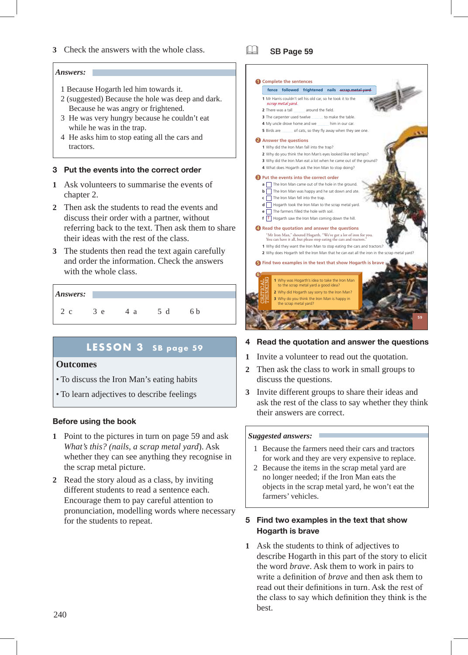**3** Check the answers with the whole class.

#### *Answers:*

- 1 Because Hogarth led him towards it.
- 2 (suggested) Because the hole was deep and dark. Because he was angry or frightened.
- 3 He was very hungry because he couldn't eat while he was in the trap.
- 4 He asks him to stop eating all the cars and tractors.

#### **3 Put the events into the correct order**

- **1** Ask volunteers to summarise the events of chapter 2.
- **2** Then ask the students to read the events and discuss their order with a partner, without referring back to the text. Then ask them to share their ideas with the rest of the class.
- **3** The students then read the text again carefully and order the information. Check the answers with the whole class.

#### *Answers:*

2 c 3 e 4 a 5 d 6 b

### **LESSON 3 SB page 59**

#### **Outcomes**

- To discuss the Iron Man's eating habits
- To learn adjectives to describe feelings

#### **Before using the book**

- **1** Point to the pictures in turn on page 59 and ask *What's this? (nails, a scrap metal yard*). Ask whether they can see anything they recognise in the scrap metal picture.
- **2** Read the story aloud as a class, by inviting different students to read a sentence each. Encourage them to pay careful attention to pronunciation, modelling words where necessary for the students to repeat.

& SB **Page 59**



#### **4 Read the quotation and answer the questions**

- **1** Invite a volunteer to read out the quotation.
- **2** Then ask the class to work in small groups to discuss the questions.
- **3** Invite different groups to share their ideas and ask the rest of the class to say whether they think their answers are correct.

#### *Suggested answers:*

- 1 Because the farmers need their cars and tractors for work and they are very expensive to replace.
- 2 Because the items in the scrap metal yard are no longer needed; if the Iron Man eats the objects in the scrap metal yard, he won't eat the farmers' vehicles.

#### **5 Find two examples in the text that show Hogarth is brave**

240 241 **1** Ask the students to think of adjectives to describe Hogarth in this part of the story to elicit the word *brave*. Ask them to work in pairs to write a definition of *brave* and then ask them to read out their definitions in turn. Ask the rest of the class to say which definition they think is the best.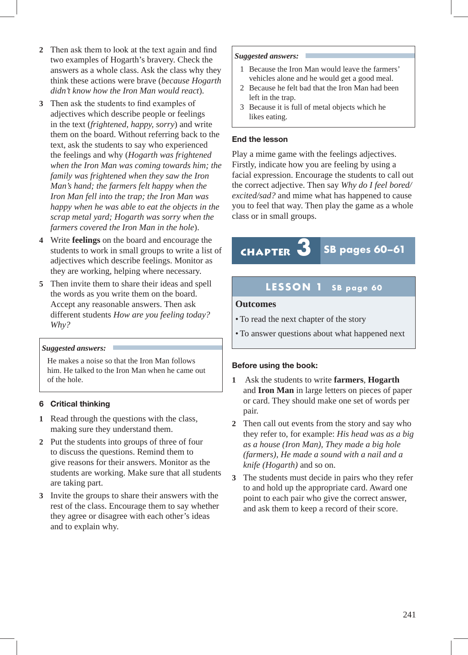- **2** Then ask them to look at the text again and find two examples of Hogarth's bravery. Check the answers as a whole class. Ask the class why they think these actions were brave (*because Hogarth didn't know how the Iron Man would react*).
- **3** Then ask the students to find examples of adjectives which describe people or feelings in the text (*frightened, happy, sorry*) and write them on the board. Without referring back to the text, ask the students to say who experienced the feelings and why (*Hogarth was frightened when the Iron Man was coming towards him; the family was frightened when they saw the Iron Man's hand; the farmers felt happy when the Iron Man fell into the trap; the Iron Man was happy when he was able to eat the objects in the scrap metal yard; Hogarth was sorry when the farmers covered the Iron Man in the hole*).
- **4** Write **feelings** on the board and encourage the students to work in small groups to write a list of adjectives which describe feelings. Monitor as they are working, helping where necessary.
- **5** Then invite them to share their ideas and spell the words as you write them on the board. Accept any reasonable answers. Then ask different students *How are you feeling today? Why?*

#### *Suggested answers:*

He makes a noise so that the Iron Man follows him. He talked to the Iron Man when he came out of the hole.

#### **6 Critical thinking**

- **1** Read through the questions with the class, making sure they understand them.
- **2** Put the students into groups of three of four to discuss the questions. Remind them to give reasons for their answers. Monitor as the students are working. Make sure that all students are taking part.
- **3** Invite the groups to share their answers with the rest of the class. Encourage them to say whether they agree or disagree with each other's ideas and to explain why.

#### *Suggested answers:*

- 1 Because the Iron Man would leave the farmers' vehicles alone and he would get a good meal.
- 2 Because he felt bad that the Iron Man had been left in the trap.
- 3 Because it is full of metal objects which he likes eating.

#### **End the lesson**

Play a mime game with the feelings adjectives. Firstly, indicate how you are feeling by using a facial expression. Encourage the students to call out the correct adjective. Then say *Why do I feel bored/ excited/sad?* and mime what has happened to cause you to feel that way. Then play the game as a whole class or in small groups.

# Chapter **3 SB pages 60–61**

### **LESSON 1 SB page 60**

#### **Outcomes**

- To read the next chapter of the story
- To answer questions about what happened next

#### **Before using the book:**

- **1** Ask the students to write **farmers**, **Hogarth** and **Iron Man** in large letters on pieces of paper or card. They should make one set of words per pair.
- **2** Then call out events from the story and say who they refer to, for example: *His head was as a big as a house (Iron Man), They made a big hole (farmers), He made a sound with a nail and a knife (Hogarth)* and so on.
- **3** The students must decide in pairs who they refer to and hold up the appropriate card. Award one point to each pair who give the correct answer, and ask them to keep a record of their score.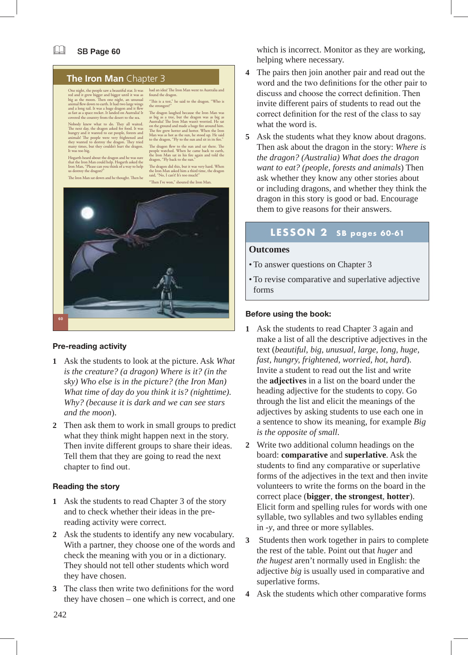#### **The Iron Man** Chapter 3

One night, the people saw a beautiful star. It was red and it grew bigger and bigger until it was as<br>big as the moon. Then one night, an unusual<br>animal flew down to earth. It had two large wings<br>and a long tail. It was a huge dragon and it flew<br>as fat as a space rocket. It

Nobody knew what to do. They all waited.<br>The next day, the dragon asked for food. It was<br>hungry and it wanted to eat people, forests and<br>animals! The people were very frightened and<br>they wanted to destroy the dragon. They It was too big.

Hogarth heard about the dragon and he was sure that the Iron Man could help. Hogarth asked the Iron Man, "Please can you think of a way to help us destroy the dragon?"

The Iron Man sat down and he thought. Then he

The dragon laughed because the Iron Man was as big as a tree, but the dragon was as big as Australia! The Iron Man wasn't worried. He sat on the ground and made a huge fire around him. The fire grew hotter and hotter. When to the dragon, "Fly to the sun and sit in its fire." The dragon flew to the sun and sat there. The people watched. When he came back to earth.

had an idea! The Iron Man went to Australia and

"This is a test," he said to the dragon. "Who is

found the dragon.

the strongest?

people watched. When he came back to earth, the Iron Man sat in his fire again and told the dragon, "Fly back to the sun."

The dragon did this, but it was very hard. When the Iron Man asked him a third time, the dragon said, "No, I can't! It's too much!" "Then I've won," shouted the Iron Man.



#### **Pre-reading activity**

- **1** Ask the students to look at the picture. Ask *What is the creature? (a dragon) Where is it? (in the sky) Who else is in the picture? (the Iron Man) What time of day do you think it is? (nighttime). Why? (because it is dark and we can see stars and the moon*).
- **2** Then ask them to work in small groups to predict what they think might happen next in the story. Then invite different groups to share their ideas. Tell them that they are going to read the next chapter to find out.

#### **Reading the story**

- **1** Ask the students to read Chapter 3 of the story and to check whether their ideas in the prereading activity were correct.
- **2** Ask the students to identify any new vocabulary. With a partner, they choose one of the words and check the meaning with you or in a dictionary. They should not tell other students which word they have chosen.
- **3** The class then write two definitions for the word they have chosen – one which is correct, and one

which is incorrect. Monitor as they are working, helping where necessary.

- **4** The pairs then join another pair and read out the word and the two definitions for the other pair to discuss and choose the correct definition. Then invite different pairs of students to read out the correct definition for the rest of the class to say what the word is.
- **5** Ask the students what they know about dragons. Then ask about the dragon in the story: *Where is the dragon? (Australia) What does the dragon want to eat? (people, forests and animals*) Then ask whether they know any other stories about or including dragons, and whether they think the dragon in this story is good or bad. Encourage them to give reasons for their answers.

### **LESSON 2 SB pages 60-61**

#### **Outcomes**

- To answer questions on Chapter 3
- To revise comparative and superlative adjective forms

#### **Before using the book:**

- **1** Ask the students to read Chapter 3 again and make a list of all the descriptive adjectives in the text (*beautiful, big, unusual, large, long, huge, fast, hungry, frightened, worried, hot, hard*). Invite a student to read out the list and write the **adjectives** in a list on the board under the heading adjective for the students to copy. Go through the list and elicit the meanings of the adjectives by asking students to use each one in a sentence to show its meaning, for example *Big is the opposite of small*.
- **2** Write two additional column headings on the board: **comparative** and **superlative**. Ask the students to find any comparative or superlative forms of the adjectives in the text and then invite volunteers to write the forms on the board in the correct place (**bigger**, **the strongest**, **hotter**). Elicit form and spelling rules for words with one syllable, two syllables and two syllables ending in -*y*, and three or more syllables.
- **3** Students then work together in pairs to complete the rest of the table. Point out that *huger* and *the hugest* aren't normally used in English: the adjective *big* is usually used in comparative and superlative forms.
- **4** Ask the students which other comparative forms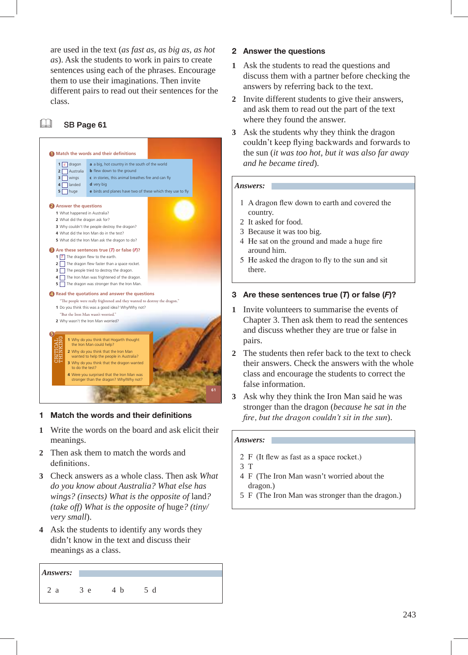are used in the text (*as fast as, as big as, as hot as*). Ask the students to work in pairs to create sentences using each of the phrases. Encourage them to use their imaginations. Then invite different pairs to read out their sentences for the class.

#### & SB **Page 61**



#### **1 Match the words and their definitions**

- **1** Write the words on the board and ask elicit their meanings.
- **2** Then ask them to match the words and definitions.
- **3** Check answers as a whole class. Then ask *What do you know about Australia? What else has wings? (insects) What is the opposite of* land*? (take off) What is the opposite of* huge*? (tiny/ very small*).
- **4** Ask the students to identify any words they didn't know in the text and discuss their meanings as a class.

| Answers: |   |  |
|----------|---|--|
| я        | e |  |

#### **2 Answer the questions**

- **1** Ask the students to read the questions and discuss them with a partner before checking the answers by referring back to the text.
- **2** Invite different students to give their answers, and ask them to read out the part of the text where they found the answer.
- **3** Ask the students why they think the dragon couldn't keep flying backwards and forwards to the sun (*it was too hot, but it was also far away and he became tired*).

#### *Answers:*

- 1 A dragon flew down to earth and covered the country.
- 2 It asked for food.
- 3 Because it was too big.
- 4 He sat on the ground and made a huge fire around him.
- 5 He asked the dragon to fly to the sun and sit there.

#### **3 Are these sentences true (***T***) or false (***F***)?**

- **1** Invite volunteers to summarise the events of Chapter 3. Then ask them to read the sentences and discuss whether they are true or false in pairs.
- **2** The students then refer back to the text to check their answers. Check the answers with the whole class and encourage the students to correct the false information.
- **3** Ask why they think the Iron Man said he was stronger than the dragon (*because he sat in the fire, but the dragon couldn't sit in the sun*).

#### *Answers:*

- 2 F (It flew as fast as a space rocket.)
- 3 T
- 4 F (The Iron Man wasn't worried about the dragon.)
- 5 F (The Iron Man was stronger than the dragon.)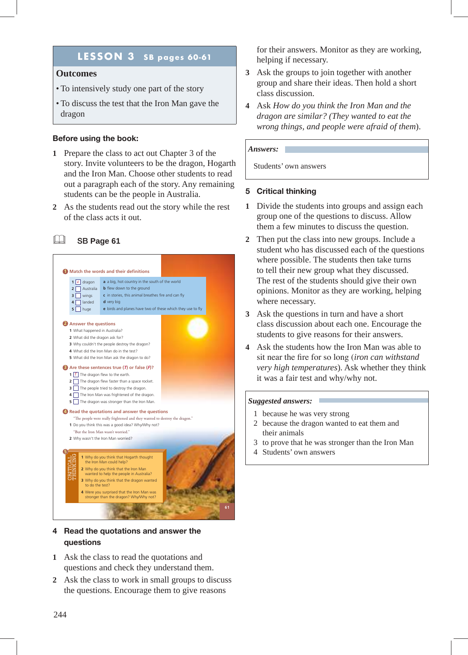# **LESSON 3 SB pages 60-61**

#### **Outcomes**

- To intensively study one part of the story
- To discuss the test that the Iron Man gave the dragon

#### **Before using the book:**

- **1** Prepare the class to act out Chapter 3 of the story. Invite volunteers to be the dragon, Hogarth and the Iron Man. Choose other students to read out a paragraph each of the story. Any remaining students can be the people in Australia.
- **2** As the students read out the story while the rest of the class acts it out.

#### & SB **Page 61**



#### **4 Read the quotations and answer the questions**

- **1** Ask the class to read the quotations and questions and check they understand them.
- **2** Ask the class to work in small groups to discuss the questions. Encourage them to give reasons

for their answers. Monitor as they are working, helping if necessary.

- **3** Ask the groups to join together with another group and share their ideas. Then hold a short class discussion.
- **4** Ask *How do you think the Iron Man and the dragon are similar? (They wanted to eat the wrong things, and people were afraid of them*).

#### *Answers:*

Students' own answers

#### **5 Critical thinking**

- **1** Divide the students into groups and assign each group one of the questions to discuss. Allow them a few minutes to discuss the question.
- **2** Then put the class into new groups. Include a student who has discussed each of the questions where possible. The students then take turns to tell their new group what they discussed. The rest of the students should give their own opinions. Monitor as they are working, helping where necessary.
- **3** Ask the questions in turn and have a short class discussion about each one. Encourage the students to give reasons for their answers.
- **4** Ask the students how the Iron Man was able to sit near the fire for so long (*iron can withstand very high temperatures*). Ask whether they think it was a fair test and why/why not.

#### *Suggested answers:*

- 1 because he was very strong
- 2 because the dragon wanted to eat them and their animals
- 3 to prove that he was stronger than the Iron Man
- 4 Students' own answers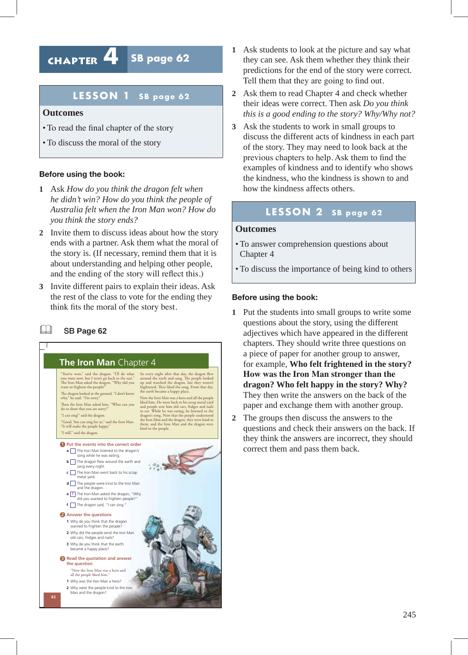# Chapter **4 SB page 62**

## **LESSON 1 SB page 62**

#### **Outcomes**

- To read the final chapter of the story
- To discuss the moral of the story

#### **Before using the book:**

- **1** Ask *How do you think the dragon felt when he didn't win? How do you think the people of Australia felt when the Iron Man won? How do you think the story ends?*
- **2** Invite them to discuss ideas about how the story ends with a partner. Ask them what the moral of the story is. (If necessary, remind them that it is about understanding and helping other people, and the ending of the story will reflect this.)
- **3** Invite different pairs to explain their ideas. Ask the rest of the class to vote for the ending they think fits the moral of the story best.

#### & SB **Page 62**



- **1** Ask students to look at the picture and say what they can see. Ask them whether they think their predictions for the end of the story were correct. Tell them that they are going to find out.
- **2** Ask them to read Chapter 4 and check whether their ideas were correct. Then ask *Do you think this is a good ending to the story? Why/Why not?*
- **3** Ask the students to work in small groups to discuss the different acts of kindness in each part of the story. They may need to look back at the previous chapters to help. Ask them to find the examples of kindness and to identify who shows the kindness, who the kindness is shown to and how the kindness affects others.

### **LESSON 2 SB page 62**

#### **Outcomes**

- To answer comprehension questions about Chapter 4
- To discuss the importance of being kind to others

#### **Before using the book:**

- **1** Put the students into small groups to write some questions about the story, using the different adjectives which have appeared in the different chapters. They should write three questions on a piece of paper for another group to answer, for example, **Who felt frightened in the story? How was the Iron Man stronger than the dragon? Who felt happy in the story? Why?** They then write the answers on the back of the paper and exchange them with another group.
- **2** The groups then discuss the answers to the questions and check their answers on the back. If they think the answers are incorrect, they should correct them and pass them back.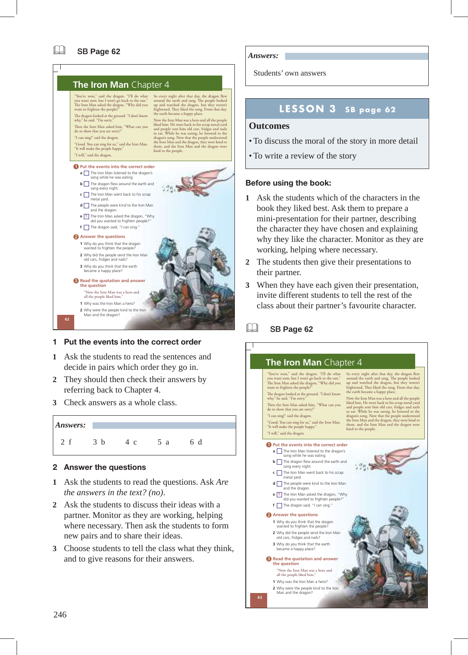

#### **1 Put the events into the correct order**

- **1** Ask the students to read the sentences and decide in pairs which order they go in.
- **2** They should then check their answers by referring back to Chapter 4.
- **3** Check answers as a whole class.



#### **2 Answer the questions**

- **1** Ask the students to read the questions. Ask *Are the answers in the text? (no)*.
- **2** Ask the students to discuss their ideas with a partner. Monitor as they are working, helping where necessary. Then ask the students to form new pairs and to share their ideas.
- **3** Choose students to tell the class what they think, and to give reasons for their answers.

*Answers:* 

Students' own answers

# **LESSON 3 SB page 62**

#### **Outcomes**

- To discuss the moral of the story in more detail
- To write a review of the story

#### **Before using the book:**

- **1** Ask the students which of the characters in the book they liked best. Ask them to prepare a mini-presentation for their partner, describing the character they have chosen and explaining why they like the character. Monitor as they are working, helping where necessary.
- **2** The students then give their presentations to their partner.
- **3** When they have each given their presentation, invite different students to tell the rest of the class about their partner's favourite character.

#### & SB **Page 62**



#### 246 and the contract of the contract of the contract of the contract of the contract of the contract of the contract of the contract of the contract of the contract of the contract of the contract of the contract of the co